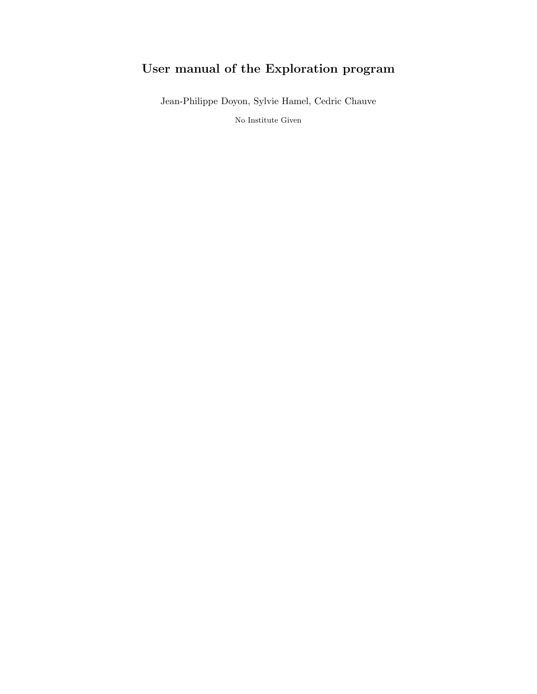## User manual of the Exploration program

Jean-Philippe Doyon, Sylvie Hamel, Cedric Chauve

No Institute Given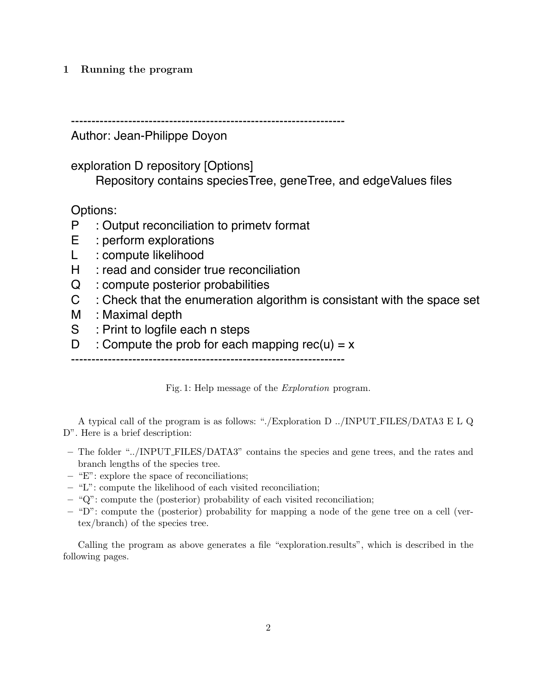## 1 Running the program

-------------------------------------------------------------------

Author: Jean-Philippe Doyon

exploration D repository [Options]

Repository contains speciesTree, geneTree, and edgeValues files

Options:

- P : Output reconciliation to primetv format
- E : perform explorations
- L : compute likelihood
- H : read and consider true reconciliation
- Q : compute posterior probabilities
- C : Check that the enumeration algorithm is consistant with the space set
- M : Maximal depth
- S : Print to logfile each n steps
- D : Compute the prob for each mapping rec(u) =  $x$

-------------------------------------------------------------------

Fig. 1: Help message of the Exploration program.

A typical call of the program is as follows: "./Exploration D ../INPUT FILES/DATA3 E L Q D". Here is a brief description:

- The folder "../INPUT FILES/DATA3" contains the species and gene trees, and the rates and branch lengths of the species tree.
- "E": explore the space of reconciliations;
- "L": compute the likelihood of each visited reconciliation;
- "Q": compute the (posterior) probability of each visited reconciliation;
- $-$  "D": compute the (posterior) probability for mapping a node of the gene tree on a cell (vertex/branch) of the species tree.

Calling the program as above generates a file "exploration.results", which is described in the following pages.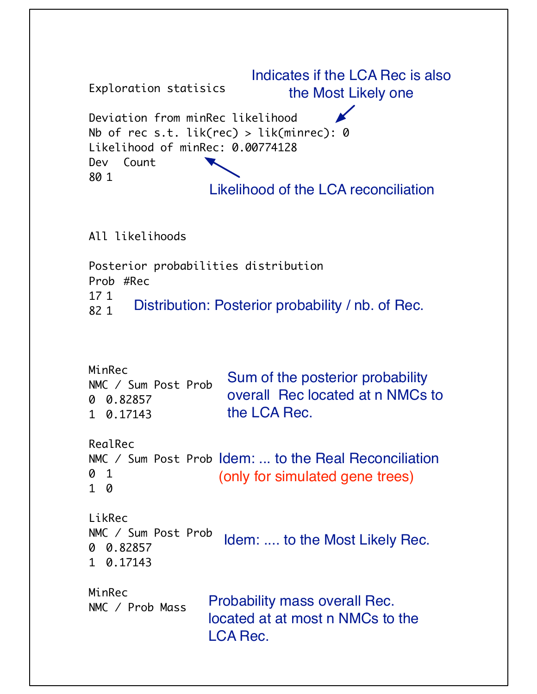```
Exploration statisics
Deviation from minRec likelihood
Nb of rec s.t. lik(rec) > lik(minrec): 0Likelihood of minRec: 0.00774128
Dev Count
80 1
                   Likelihood of the LCA reconciliation
                         Indicates if the LCA Rec is also 
                               the Most Likely one
```
All likelihoods

Posterior probabilities distribution Prob #Rec 17 1 82 1 Distribution: Posterior probability / nb. of Rec.

| MinRec<br>NMC / Sum Post Prob<br>0 0.82857<br>1 0.17143 | Sum of the posterior probability<br>overall Rec located at n NMCs to<br>the LCA Rec.        |
|---------------------------------------------------------|---------------------------------------------------------------------------------------------|
| RealRec<br>0 1<br>0                                     | NMC / Sum Post Prob Idem:  to the Real Reconciliation<br>(only for simulated gene trees)    |
| LikRec<br>NMC / Sum Post Prob<br>0 0.82857<br>1 0.17143 | Idem:  to the Most Likely Rec.                                                              |
| MinRec<br>NMC / Prob Mass                               | <b>Probability mass overall Rec.</b><br>located at at most n NMCs to the<br><b>LCA Rec.</b> |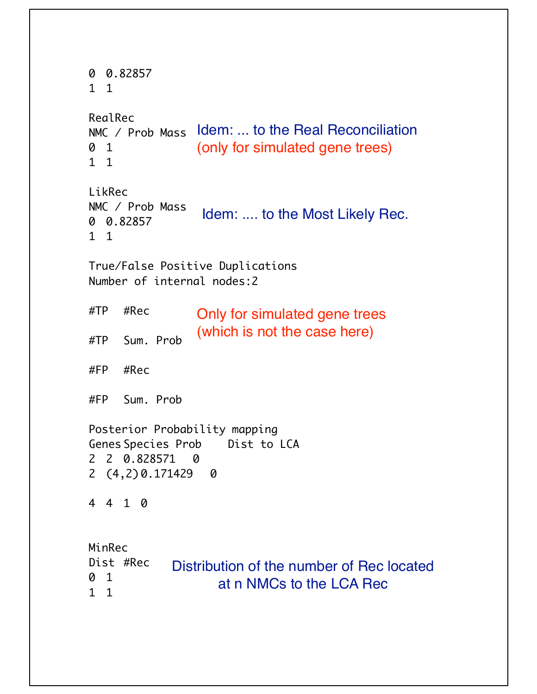```
0 0.82857
1 1
RealRec
NMC / Prob Mass
Idem: ... to the Real Reconciliation
0 1
1 1
LikRec
NMC / Prob Mass
0 0.82857
1 1
True/False Positive Duplications
Number of internal nodes:2
#TP #Rec
#TP Sum. Prob
#FP #Rec
#FP Sum. Prob
Posterior Probability mapping
Genes Species Prob Dist to LCA
2 2 0.828571 0
2 (4,2) 0.171429 0
4 4 1 0
MinRec
Dist #Rec
0 1
1 1
                (only for simulated gene trees)
                 Idem: .... to the Most Likely Rec.
                Only for simulated gene trees
                (which is not the case here)
            Distribution of the number of Rec located 
                    at n NMCs to the LCA Rec
```